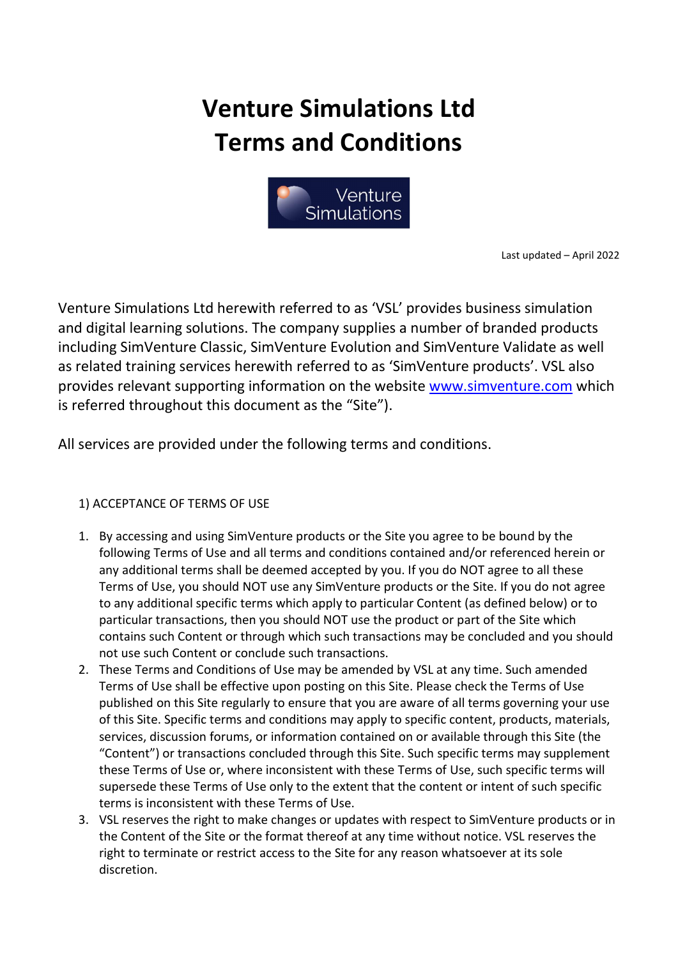# Venture Simulations Ltd Terms and Conditions



Last updated – April 2022

Venture Simulations Ltd herewith referred to as 'VSL' provides business simulation and digital learning solutions. The company supplies a number of branded products including SimVenture Classic, SimVenture Evolution and SimVenture Validate as well as related training services herewith referred to as 'SimVenture products'. VSL also provides relevant supporting information on the website www.simventure.com which is referred throughout this document as the "Site").

All services are provided under the following terms and conditions.

# 1) ACCEPTANCE OF TERMS OF USE

- 1. By accessing and using SimVenture products or the Site you agree to be bound by the following Terms of Use and all terms and conditions contained and/or referenced herein or any additional terms shall be deemed accepted by you. If you do NOT agree to all these Terms of Use, you should NOT use any SimVenture products or the Site. If you do not agree to any additional specific terms which apply to particular Content (as defined below) or to particular transactions, then you should NOT use the product or part of the Site which contains such Content or through which such transactions may be concluded and you should not use such Content or conclude such transactions.
- 2. These Terms and Conditions of Use may be amended by VSL at any time. Such amended Terms of Use shall be effective upon posting on this Site. Please check the Terms of Use published on this Site regularly to ensure that you are aware of all terms governing your use of this Site. Specific terms and conditions may apply to specific content, products, materials, services, discussion forums, or information contained on or available through this Site (the "Content") or transactions concluded through this Site. Such specific terms may supplement these Terms of Use or, where inconsistent with these Terms of Use, such specific terms will supersede these Terms of Use only to the extent that the content or intent of such specific terms is inconsistent with these Terms of Use.
- 3. VSL reserves the right to make changes or updates with respect to SimVenture products or in the Content of the Site or the format thereof at any time without notice. VSL reserves the right to terminate or restrict access to the Site for any reason whatsoever at its sole discretion.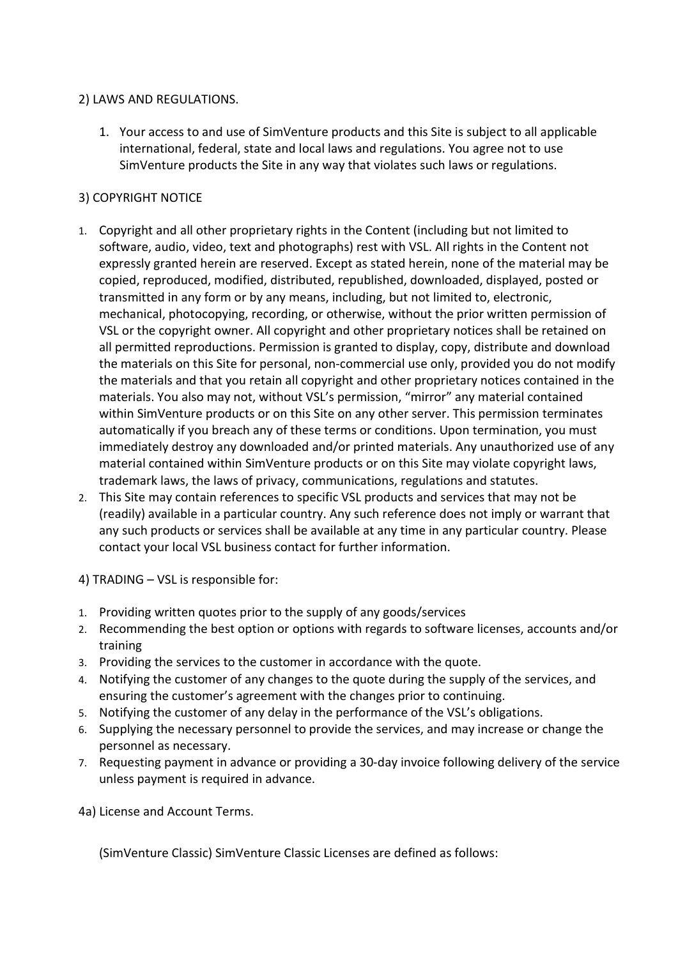#### 2) LAWS AND REGULATIONS.

1. Your access to and use of SimVenture products and this Site is subject to all applicable international, federal, state and local laws and regulations. You agree not to use SimVenture products the Site in any way that violates such laws or regulations.

## 3) COPYRIGHT NOTICE

- 1. Copyright and all other proprietary rights in the Content (including but not limited to software, audio, video, text and photographs) rest with VSL. All rights in the Content not expressly granted herein are reserved. Except as stated herein, none of the material may be copied, reproduced, modified, distributed, republished, downloaded, displayed, posted or transmitted in any form or by any means, including, but not limited to, electronic, mechanical, photocopying, recording, or otherwise, without the prior written permission of VSL or the copyright owner. All copyright and other proprietary notices shall be retained on all permitted reproductions. Permission is granted to display, copy, distribute and download the materials on this Site for personal, non-commercial use only, provided you do not modify the materials and that you retain all copyright and other proprietary notices contained in the materials. You also may not, without VSL's permission, "mirror" any material contained within SimVenture products or on this Site on any other server. This permission terminates automatically if you breach any of these terms or conditions. Upon termination, you must immediately destroy any downloaded and/or printed materials. Any unauthorized use of any material contained within SimVenture products or on this Site may violate copyright laws, trademark laws, the laws of privacy, communications, regulations and statutes.
- 2. This Site may contain references to specific VSL products and services that may not be (readily) available in a particular country. Any such reference does not imply or warrant that any such products or services shall be available at any time in any particular country. Please contact your local VSL business contact for further information.

4) TRADING – VSL is responsible for:

- 1. Providing written quotes prior to the supply of any goods/services
- 2. Recommending the best option or options with regards to software licenses, accounts and/or training
- 3. Providing the services to the customer in accordance with the quote.
- 4. Notifying the customer of any changes to the quote during the supply of the services, and ensuring the customer's agreement with the changes prior to continuing.
- 5. Notifying the customer of any delay in the performance of the VSL's obligations.
- 6. Supplying the necessary personnel to provide the services, and may increase or change the personnel as necessary.
- 7. Requesting payment in advance or providing a 30-day invoice following delivery of the service unless payment is required in advance.

4a) License and Account Terms.

(SimVenture Classic) SimVenture Classic Licenses are defined as follows: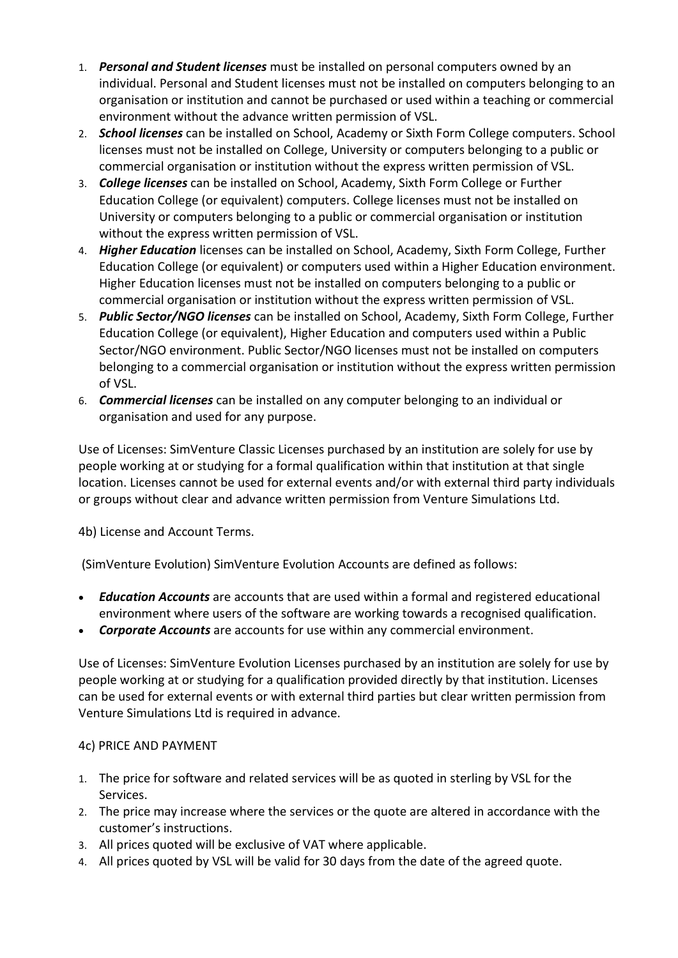- 1. Personal and Student licenses must be installed on personal computers owned by an individual. Personal and Student licenses must not be installed on computers belonging to an organisation or institution and cannot be purchased or used within a teaching or commercial environment without the advance written permission of VSL.
- 2. School licenses can be installed on School, Academy or Sixth Form College computers. School licenses must not be installed on College, University or computers belonging to a public or commercial organisation or institution without the express written permission of VSL.
- 3. College licenses can be installed on School, Academy, Sixth Form College or Further Education College (or equivalent) computers. College licenses must not be installed on University or computers belonging to a public or commercial organisation or institution without the express written permission of VSL.
- 4. Higher Education licenses can be installed on School, Academy, Sixth Form College, Further Education College (or equivalent) or computers used within a Higher Education environment. Higher Education licenses must not be installed on computers belonging to a public or commercial organisation or institution without the express written permission of VSL.
- 5. Public Sector/NGO licenses can be installed on School, Academy, Sixth Form College, Further Education College (or equivalent), Higher Education and computers used within a Public Sector/NGO environment. Public Sector/NGO licenses must not be installed on computers belonging to a commercial organisation or institution without the express written permission of VSL.
- 6. Commercial licenses can be installed on any computer belonging to an individual or organisation and used for any purpose.

Use of Licenses: SimVenture Classic Licenses purchased by an institution are solely for use by people working at or studying for a formal qualification within that institution at that single location. Licenses cannot be used for external events and/or with external third party individuals or groups without clear and advance written permission from Venture Simulations Ltd.

4b) License and Account Terms.

(SimVenture Evolution) SimVenture Evolution Accounts are defined as follows:

- Education Accounts are accounts that are used within a formal and registered educational environment where users of the software are working towards a recognised qualification.
- Corporate Accounts are accounts for use within any commercial environment.

Use of Licenses: SimVenture Evolution Licenses purchased by an institution are solely for use by people working at or studying for a qualification provided directly by that institution. Licenses can be used for external events or with external third parties but clear written permission from Venture Simulations Ltd is required in advance.

## 4c) PRICE AND PAYMENT

- 1. The price for software and related services will be as quoted in sterling by VSL for the Services.
- 2. The price may increase where the services or the quote are altered in accordance with the customer's instructions.
- 3. All prices quoted will be exclusive of VAT where applicable.
- 4. All prices quoted by VSL will be valid for 30 days from the date of the agreed quote.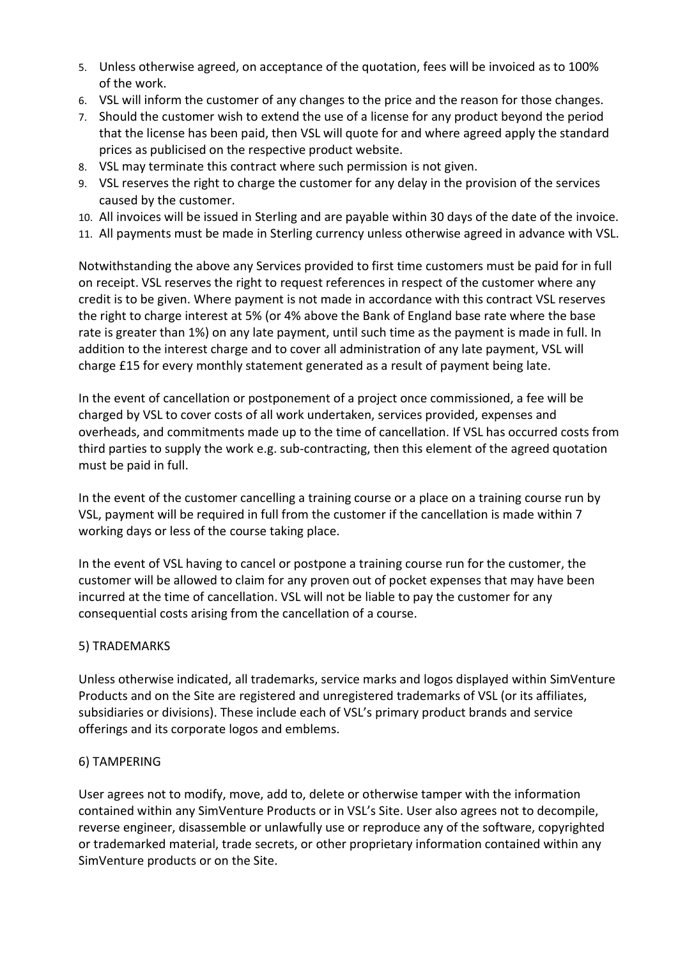- 5. Unless otherwise agreed, on acceptance of the quotation, fees will be invoiced as to 100% of the work.
- 6. VSL will inform the customer of any changes to the price and the reason for those changes.
- 7. Should the customer wish to extend the use of a license for any product beyond the period that the license has been paid, then VSL will quote for and where agreed apply the standard prices as publicised on the respective product website.
- 8. VSL may terminate this contract where such permission is not given.
- 9. VSL reserves the right to charge the customer for any delay in the provision of the services caused by the customer.
- 10. All invoices will be issued in Sterling and are payable within 30 days of the date of the invoice.
- 11. All payments must be made in Sterling currency unless otherwise agreed in advance with VSL.

Notwithstanding the above any Services provided to first time customers must be paid for in full on receipt. VSL reserves the right to request references in respect of the customer where any credit is to be given. Where payment is not made in accordance with this contract VSL reserves the right to charge interest at 5% (or 4% above the Bank of England base rate where the base rate is greater than 1%) on any late payment, until such time as the payment is made in full. In addition to the interest charge and to cover all administration of any late payment, VSL will charge £15 for every monthly statement generated as a result of payment being late.

In the event of cancellation or postponement of a project once commissioned, a fee will be charged by VSL to cover costs of all work undertaken, services provided, expenses and overheads, and commitments made up to the time of cancellation. If VSL has occurred costs from third parties to supply the work e.g. sub-contracting, then this element of the agreed quotation must be paid in full.

In the event of the customer cancelling a training course or a place on a training course run by VSL, payment will be required in full from the customer if the cancellation is made within 7 working days or less of the course taking place.

In the event of VSL having to cancel or postpone a training course run for the customer, the customer will be allowed to claim for any proven out of pocket expenses that may have been incurred at the time of cancellation. VSL will not be liable to pay the customer for any consequential costs arising from the cancellation of a course.

#### 5) TRADEMARKS

Unless otherwise indicated, all trademarks, service marks and logos displayed within SimVenture Products and on the Site are registered and unregistered trademarks of VSL (or its affiliates, subsidiaries or divisions). These include each of VSL's primary product brands and service offerings and its corporate logos and emblems.

#### 6) TAMPERING

User agrees not to modify, move, add to, delete or otherwise tamper with the information contained within any SimVenture Products or in VSL's Site. User also agrees not to decompile, reverse engineer, disassemble or unlawfully use or reproduce any of the software, copyrighted or trademarked material, trade secrets, or other proprietary information contained within any SimVenture products or on the Site.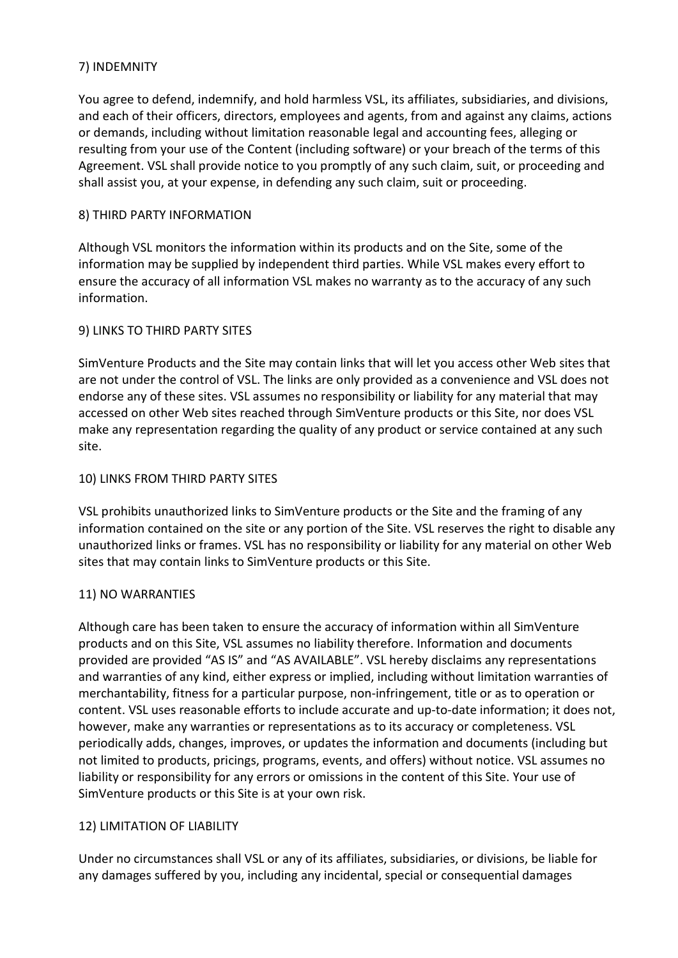### 7) INDEMNITY

You agree to defend, indemnify, and hold harmless VSL, its affiliates, subsidiaries, and divisions, and each of their officers, directors, employees and agents, from and against any claims, actions or demands, including without limitation reasonable legal and accounting fees, alleging or resulting from your use of the Content (including software) or your breach of the terms of this Agreement. VSL shall provide notice to you promptly of any such claim, suit, or proceeding and shall assist you, at your expense, in defending any such claim, suit or proceeding.

### 8) THIRD PARTY INFORMATION

Although VSL monitors the information within its products and on the Site, some of the information may be supplied by independent third parties. While VSL makes every effort to ensure the accuracy of all information VSL makes no warranty as to the accuracy of any such information.

## 9) LINKS TO THIRD PARTY SITES

SimVenture Products and the Site may contain links that will let you access other Web sites that are not under the control of VSL. The links are only provided as a convenience and VSL does not endorse any of these sites. VSL assumes no responsibility or liability for any material that may accessed on other Web sites reached through SimVenture products or this Site, nor does VSL make any representation regarding the quality of any product or service contained at any such site.

#### 10) LINKS FROM THIRD PARTY SITES

VSL prohibits unauthorized links to SimVenture products or the Site and the framing of any information contained on the site or any portion of the Site. VSL reserves the right to disable any unauthorized links or frames. VSL has no responsibility or liability for any material on other Web sites that may contain links to SimVenture products or this Site.

#### 11) NO WARRANTIES

Although care has been taken to ensure the accuracy of information within all SimVenture products and on this Site, VSL assumes no liability therefore. Information and documents provided are provided "AS IS" and "AS AVAILABLE". VSL hereby disclaims any representations and warranties of any kind, either express or implied, including without limitation warranties of merchantability, fitness for a particular purpose, non-infringement, title or as to operation or content. VSL uses reasonable efforts to include accurate and up-to-date information; it does not, however, make any warranties or representations as to its accuracy or completeness. VSL periodically adds, changes, improves, or updates the information and documents (including but not limited to products, pricings, programs, events, and offers) without notice. VSL assumes no liability or responsibility for any errors or omissions in the content of this Site. Your use of SimVenture products or this Site is at your own risk.

#### 12) LIMITATION OF LIABILITY

Under no circumstances shall VSL or any of its affiliates, subsidiaries, or divisions, be liable for any damages suffered by you, including any incidental, special or consequential damages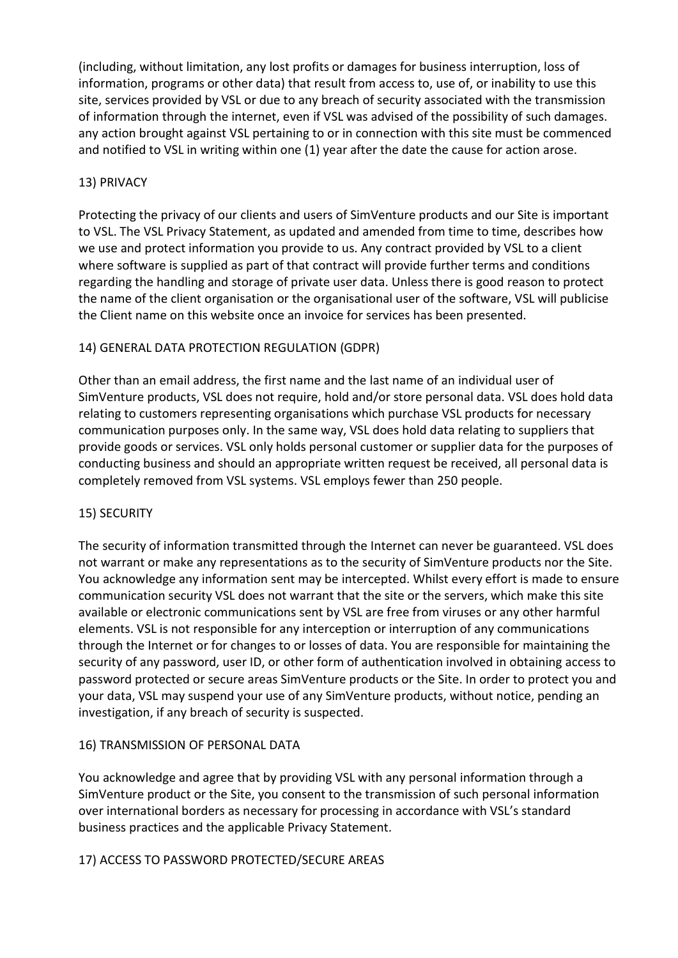(including, without limitation, any lost profits or damages for business interruption, loss of information, programs or other data) that result from access to, use of, or inability to use this site, services provided by VSL or due to any breach of security associated with the transmission of information through the internet, even if VSL was advised of the possibility of such damages. any action brought against VSL pertaining to or in connection with this site must be commenced and notified to VSL in writing within one (1) year after the date the cause for action arose.

## 13) PRIVACY

Protecting the privacy of our clients and users of SimVenture products and our Site is important to VSL. The VSL Privacy Statement, as updated and amended from time to time, describes how we use and protect information you provide to us. Any contract provided by VSL to a client where software is supplied as part of that contract will provide further terms and conditions regarding the handling and storage of private user data. Unless there is good reason to protect the name of the client organisation or the organisational user of the software, VSL will publicise the Client name on this website once an invoice for services has been presented.

## 14) GENERAL DATA PROTECTION REGULATION (GDPR)

Other than an email address, the first name and the last name of an individual user of SimVenture products, VSL does not require, hold and/or store personal data. VSL does hold data relating to customers representing organisations which purchase VSL products for necessary communication purposes only. In the same way, VSL does hold data relating to suppliers that provide goods or services. VSL only holds personal customer or supplier data for the purposes of conducting business and should an appropriate written request be received, all personal data is completely removed from VSL systems. VSL employs fewer than 250 people.

## 15) SECURITY

The security of information transmitted through the Internet can never be guaranteed. VSL does not warrant or make any representations as to the security of SimVenture products nor the Site. You acknowledge any information sent may be intercepted. Whilst every effort is made to ensure communication security VSL does not warrant that the site or the servers, which make this site available or electronic communications sent by VSL are free from viruses or any other harmful elements. VSL is not responsible for any interception or interruption of any communications through the Internet or for changes to or losses of data. You are responsible for maintaining the security of any password, user ID, or other form of authentication involved in obtaining access to password protected or secure areas SimVenture products or the Site. In order to protect you and your data, VSL may suspend your use of any SimVenture products, without notice, pending an investigation, if any breach of security is suspected.

## 16) TRANSMISSION OF PERSONAL DATA

You acknowledge and agree that by providing VSL with any personal information through a SimVenture product or the Site, you consent to the transmission of such personal information over international borders as necessary for processing in accordance with VSL's standard business practices and the applicable Privacy Statement.

## 17) ACCESS TO PASSWORD PROTECTED/SECURE AREAS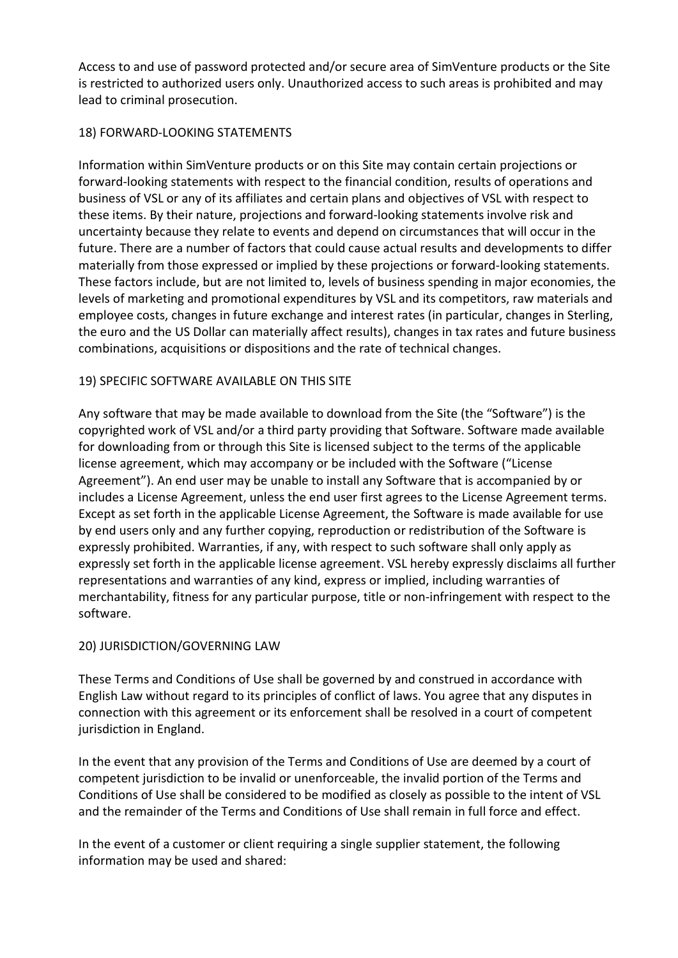Access to and use of password protected and/or secure area of SimVenture products or the Site is restricted to authorized users only. Unauthorized access to such areas is prohibited and may lead to criminal prosecution.

## 18) FORWARD-LOOKING STATEMENTS

Information within SimVenture products or on this Site may contain certain projections or forward-looking statements with respect to the financial condition, results of operations and business of VSL or any of its affiliates and certain plans and objectives of VSL with respect to these items. By their nature, projections and forward-looking statements involve risk and uncertainty because they relate to events and depend on circumstances that will occur in the future. There are a number of factors that could cause actual results and developments to differ materially from those expressed or implied by these projections or forward-looking statements. These factors include, but are not limited to, levels of business spending in major economies, the levels of marketing and promotional expenditures by VSL and its competitors, raw materials and employee costs, changes in future exchange and interest rates (in particular, changes in Sterling, the euro and the US Dollar can materially affect results), changes in tax rates and future business combinations, acquisitions or dispositions and the rate of technical changes.

## 19) SPECIFIC SOFTWARE AVAILABLE ON THIS SITE

Any software that may be made available to download from the Site (the "Software") is the copyrighted work of VSL and/or a third party providing that Software. Software made available for downloading from or through this Site is licensed subject to the terms of the applicable license agreement, which may accompany or be included with the Software ("License Agreement"). An end user may be unable to install any Software that is accompanied by or includes a License Agreement, unless the end user first agrees to the License Agreement terms. Except as set forth in the applicable License Agreement, the Software is made available for use by end users only and any further copying, reproduction or redistribution of the Software is expressly prohibited. Warranties, if any, with respect to such software shall only apply as expressly set forth in the applicable license agreement. VSL hereby expressly disclaims all further representations and warranties of any kind, express or implied, including warranties of merchantability, fitness for any particular purpose, title or non-infringement with respect to the software.

# 20) JURISDICTION/GOVERNING LAW

These Terms and Conditions of Use shall be governed by and construed in accordance with English Law without regard to its principles of conflict of laws. You agree that any disputes in connection with this agreement or its enforcement shall be resolved in a court of competent jurisdiction in England.

In the event that any provision of the Terms and Conditions of Use are deemed by a court of competent jurisdiction to be invalid or unenforceable, the invalid portion of the Terms and Conditions of Use shall be considered to be modified as closely as possible to the intent of VSL and the remainder of the Terms and Conditions of Use shall remain in full force and effect.

In the event of a customer or client requiring a single supplier statement, the following information may be used and shared: